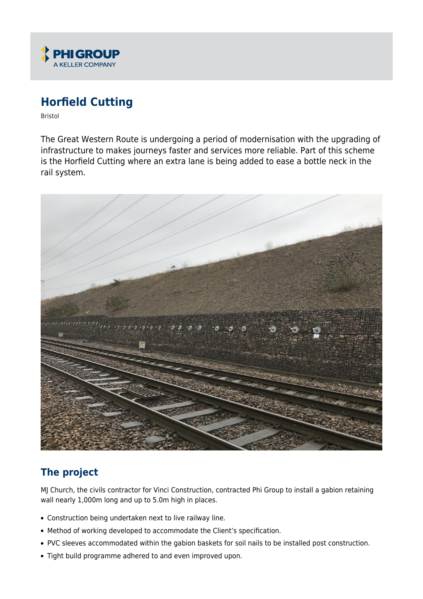

# **Horfield Cutting**

Bristol

The Great Western Route is undergoing a period of modernisation with the upgrading of infrastructure to makes journeys faster and services more reliable. Part of this scheme is the Horfield Cutting where an extra lane is being added to ease a bottle neck in the rail system.



## **The project**

MJ Church, the civils contractor for Vinci Construction, contracted Phi Group to install a gabion retaining wall nearly 1,000m long and up to 5.0m high in places.

- Construction being undertaken next to live railway line.
- Method of working developed to accommodate the Client's specification.
- PVC sleeves accommodated within the gabion baskets for soil nails to be installed post construction.
- Tight build programme adhered to and even improved upon.